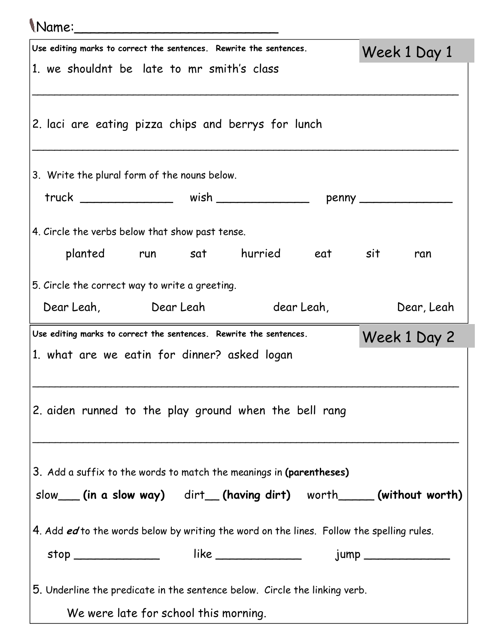## Name:\_\_\_\_\_\_\_\_\_\_\_\_\_\_\_\_\_\_\_\_\_\_\_\_\_

| Use editing marks to correct the sentences. Rewrite the sentences.                        |  |                                                                                  |  | Week 1 Day 1 |  |  |  |
|-------------------------------------------------------------------------------------------|--|----------------------------------------------------------------------------------|--|--------------|--|--|--|
| 1. we shouldnt be late to mr smith's class                                                |  |                                                                                  |  |              |  |  |  |
|                                                                                           |  |                                                                                  |  |              |  |  |  |
|                                                                                           |  |                                                                                  |  |              |  |  |  |
| 2. laci are eating pizza chips and berrys for lunch                                       |  |                                                                                  |  |              |  |  |  |
|                                                                                           |  |                                                                                  |  |              |  |  |  |
| 3. Write the plural form of the nouns below.                                              |  |                                                                                  |  |              |  |  |  |
|                                                                                           |  | truck ___________________ wish _______________________ penny ___________________ |  |              |  |  |  |
|                                                                                           |  |                                                                                  |  |              |  |  |  |
| 4. Circle the verbs below that show past tense.                                           |  |                                                                                  |  |              |  |  |  |
| planted run sat hurried eat sit                                                           |  |                                                                                  |  | ran          |  |  |  |
| 5. Circle the correct way to write a greeting.                                            |  |                                                                                  |  |              |  |  |  |
| Dear Leah, Dear Leah dear Leah,                                                           |  |                                                                                  |  | Dear, Leah   |  |  |  |
|                                                                                           |  |                                                                                  |  |              |  |  |  |
| Use editing marks to correct the sentences. Rewrite the sentences.<br>Week 1 Day 2        |  |                                                                                  |  |              |  |  |  |
| 1. what are we eatin for dinner? asked logan                                              |  |                                                                                  |  |              |  |  |  |
|                                                                                           |  |                                                                                  |  |              |  |  |  |
| 2. aiden runned to the play ground when the bell rang                                     |  |                                                                                  |  |              |  |  |  |
|                                                                                           |  |                                                                                  |  |              |  |  |  |
|                                                                                           |  |                                                                                  |  |              |  |  |  |
| 3. Add a suffix to the words to match the meanings in (parentheses)                       |  |                                                                                  |  |              |  |  |  |
| slow___(in a slow way) dirt__(having dirt) worth____(without worth)                       |  |                                                                                  |  |              |  |  |  |
|                                                                                           |  |                                                                                  |  |              |  |  |  |
| 4. Add ed to the words below by writing the word on the lines. Follow the spelling rules. |  |                                                                                  |  |              |  |  |  |
| stop ________________  like ________________  jump _____________________________          |  |                                                                                  |  |              |  |  |  |
|                                                                                           |  |                                                                                  |  |              |  |  |  |
| 5. Underline the predicate in the sentence below. Circle the linking verb.                |  |                                                                                  |  |              |  |  |  |
| We were late for school this morning.                                                     |  |                                                                                  |  |              |  |  |  |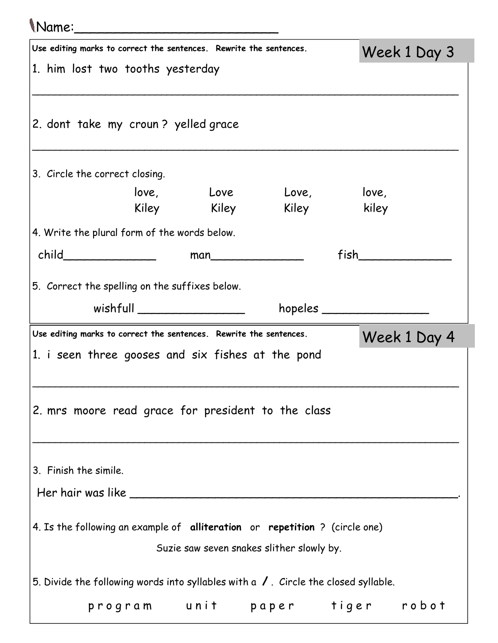| \Name:______                                                                                      |  |                         |                   |              |  |  |
|---------------------------------------------------------------------------------------------------|--|-------------------------|-------------------|--------------|--|--|
| Use editing marks to correct the sentences. Rewrite the sentences.                                |  |                         |                   | Week 1 Day 3 |  |  |
| 1. him lost two tooths yesterday                                                                  |  |                         |                   |              |  |  |
| 2. dont take my croun? yelled grace                                                               |  |                         |                   |              |  |  |
| 3. Circle the correct closing.                                                                    |  |                         |                   |              |  |  |
|                                                                                                   |  | love, Love Love, love,  |                   |              |  |  |
|                                                                                                   |  | Kiley Kiley Kiley kiley |                   |              |  |  |
| 4. Write the plural form of the words below.                                                      |  |                         |                   |              |  |  |
| child________________                                                                             |  | man                     | <b>fish</b>       |              |  |  |
| wishfull __________________<br>Use editing marks to correct the sentences. Rewrite the sentences. |  |                         | $h$ opeles $\_\_$ |              |  |  |
| 1. i seen three gooses and six fishes at the pond                                                 |  |                         |                   | Week 1 Day 4 |  |  |
| 2. mrs moore read grace for president to the class                                                |  |                         |                   |              |  |  |
| 3. Finish the simile.                                                                             |  |                         |                   |              |  |  |
|                                                                                                   |  |                         |                   |              |  |  |
| 4. Is the following an example of alliteration or repetition ? (circle one)                       |  |                         |                   |              |  |  |
| Suzie saw seven snakes slither slowly by.                                                         |  |                         |                   |              |  |  |
| 5. Divide the following words into syllables with a $\sqrt{ }$ . Circle the closed syllable.      |  |                         |                   |              |  |  |
| program unit paper tiger robot                                                                    |  |                         |                   |              |  |  |